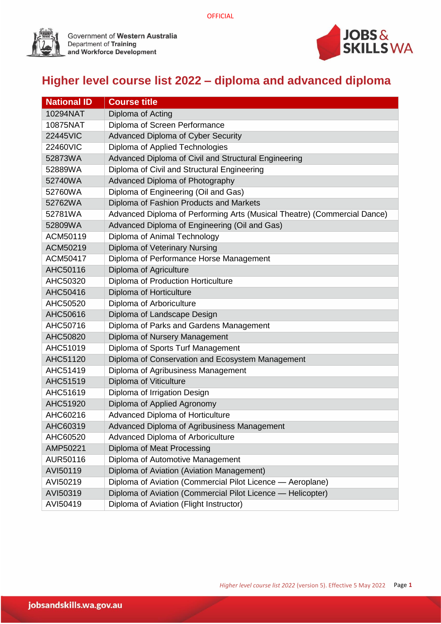

Government of Western Australia<br>Department of Training<br>and Workforce Development



## **Higher level course list 2022 – diploma and advanced diploma**

| <b>National ID</b> | <b>Course title</b>                                                      |
|--------------------|--------------------------------------------------------------------------|
| 10294NAT           | Diploma of Acting                                                        |
| 10875NAT           | Diploma of Screen Performance                                            |
| 22445VIC           | Advanced Diploma of Cyber Security                                       |
| 22460VIC           | Diploma of Applied Technologies                                          |
| 52873WA            | Advanced Diploma of Civil and Structural Engineering                     |
| 52889WA            | Diploma of Civil and Structural Engineering                              |
| 52740WA            | Advanced Diploma of Photography                                          |
| 52760WA            | Diploma of Engineering (Oil and Gas)                                     |
| 52762WA            | Diploma of Fashion Products and Markets                                  |
| 52781WA            | Advanced Diploma of Performing Arts (Musical Theatre) (Commercial Dance) |
| 52809WA            | Advanced Diploma of Engineering (Oil and Gas)                            |
| ACM50119           | Diploma of Animal Technology                                             |
| ACM50219           | Diploma of Veterinary Nursing                                            |
| ACM50417           | Diploma of Performance Horse Management                                  |
| AHC50116           | Diploma of Agriculture                                                   |
| AHC50320           | Diploma of Production Horticulture                                       |
| AHC50416           | Diploma of Horticulture                                                  |
| AHC50520           | Diploma of Arboriculture                                                 |
| AHC50616           | Diploma of Landscape Design                                              |
| AHC50716           | Diploma of Parks and Gardens Management                                  |
| AHC50820           | Diploma of Nursery Management                                            |
| AHC51019           | Diploma of Sports Turf Management                                        |
| AHC51120           | Diploma of Conservation and Ecosystem Management                         |
| AHC51419           | Diploma of Agribusiness Management                                       |
| AHC51519           | Diploma of Viticulture                                                   |
| AHC51619           | Diploma of Irrigation Design                                             |
| AHC51920           | Diploma of Applied Agronomy                                              |
| AHC60216           | Advanced Diploma of Horticulture                                         |
| AHC60319           | Advanced Diploma of Agribusiness Management                              |
| AHC60520           | Advanced Diploma of Arboriculture                                        |
| AMP50221           | Diploma of Meat Processing                                               |
| AUR50116           | Diploma of Automotive Management                                         |
| AVI50119           | Diploma of Aviation (Aviation Management)                                |
| AVI50219           | Diploma of Aviation (Commercial Pilot Licence - Aeroplane)               |
| AVI50319           | Diploma of Aviation (Commercial Pilot Licence - Helicopter)              |
| AVI50419           | Diploma of Aviation (Flight Instructor)                                  |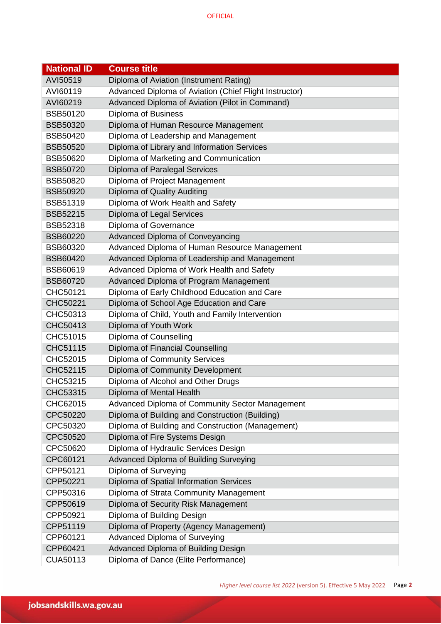| <b>National ID</b> | <b>Course title</b>                                    |
|--------------------|--------------------------------------------------------|
| AVI50519           | Diploma of Aviation (Instrument Rating)                |
| AVI60119           | Advanced Diploma of Aviation (Chief Flight Instructor) |
| AVI60219           | Advanced Diploma of Aviation (Pilot in Command)        |
| <b>BSB50120</b>    | Diploma of Business                                    |
| <b>BSB50320</b>    | Diploma of Human Resource Management                   |
| <b>BSB50420</b>    | Diploma of Leadership and Management                   |
| <b>BSB50520</b>    | Diploma of Library and Information Services            |
| BSB50620           | Diploma of Marketing and Communication                 |
| <b>BSB50720</b>    | Diploma of Paralegal Services                          |
| <b>BSB50820</b>    | Diploma of Project Management                          |
| <b>BSB50920</b>    | Diploma of Quality Auditing                            |
| <b>BSB51319</b>    | Diploma of Work Health and Safety                      |
| <b>BSB52215</b>    | Diploma of Legal Services                              |
| <b>BSB52318</b>    | Diploma of Governance                                  |
| <b>BSB60220</b>    | <b>Advanced Diploma of Conveyancing</b>                |
| BSB60320           | Advanced Diploma of Human Resource Management          |
| <b>BSB60420</b>    | Advanced Diploma of Leadership and Management          |
| BSB60619           | Advanced Diploma of Work Health and Safety             |
| <b>BSB60720</b>    | Advanced Diploma of Program Management                 |
| CHC50121           | Diploma of Early Childhood Education and Care          |
| CHC50221           | Diploma of School Age Education and Care               |
| CHC50313           | Diploma of Child, Youth and Family Intervention        |
| CHC50413           | Diploma of Youth Work                                  |
| CHC51015           | Diploma of Counselling                                 |
| CHC51115           | Diploma of Financial Counselling                       |
| CHC52015           | Diploma of Community Services                          |
| CHC52115           | Diploma of Community Development                       |
| CHC53215           | Diploma of Alcohol and Other Drugs                     |
| CHC53315           | Diploma of Mental Health                               |
| CHC62015           | Advanced Diploma of Community Sector Management        |
| CPC50220           | Diploma of Building and Construction (Building)        |
| CPC50320           | Diploma of Building and Construction (Management)      |
| CPC50520           | Diploma of Fire Systems Design                         |
| CPC50620           | Diploma of Hydraulic Services Design                   |
| CPC60121           | Advanced Diploma of Building Surveying                 |
| CPP50121           | Diploma of Surveying                                   |
| CPP50221           | Diploma of Spatial Information Services                |
| CPP50316           | Diploma of Strata Community Management                 |
| CPP50619           | Diploma of Security Risk Management                    |
| CPP50921           | Diploma of Building Design                             |
| CPP51119           | Diploma of Property (Agency Management)                |
| CPP60121           | Advanced Diploma of Surveying                          |
| CPP60421           | Advanced Diploma of Building Design                    |
| CUA50113           | Diploma of Dance (Elite Performance)                   |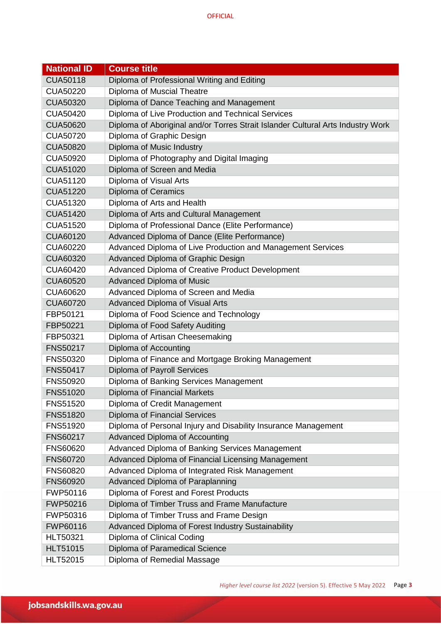| <b>National ID</b> | <b>Course title</b>                                                             |
|--------------------|---------------------------------------------------------------------------------|
| <b>CUA50118</b>    | Diploma of Professional Writing and Editing                                     |
| <b>CUA50220</b>    | Diploma of Muscial Theatre                                                      |
| <b>CUA50320</b>    | Diploma of Dance Teaching and Management                                        |
| <b>CUA50420</b>    | Diploma of Live Production and Technical Services                               |
| <b>CUA50620</b>    | Diploma of Aboriginal and/or Torres Strait Islander Cultural Arts Industry Work |
| <b>CUA50720</b>    | Diploma of Graphic Design                                                       |
| <b>CUA50820</b>    | Diploma of Music Industry                                                       |
| <b>CUA50920</b>    | Diploma of Photography and Digital Imaging                                      |
| <b>CUA51020</b>    | Diploma of Screen and Media                                                     |
| CUA51120           | Diploma of Visual Arts                                                          |
| <b>CUA51220</b>    | Diploma of Ceramics                                                             |
| CUA51320           | Diploma of Arts and Health                                                      |
| <b>CUA51420</b>    | Diploma of Arts and Cultural Management                                         |
| <b>CUA51520</b>    | Diploma of Professional Dance (Elite Performance)                               |
| <b>CUA60120</b>    | Advanced Diploma of Dance (Elite Performance)                                   |
| CUA60220           | Advanced Diploma of Live Production and Management Services                     |
| CUA60320           | Advanced Diploma of Graphic Design                                              |
| CUA60420           | Advanced Diploma of Creative Product Development                                |
| <b>CUA60520</b>    | Advanced Diploma of Music                                                       |
| CUA60620           | Advanced Diploma of Screen and Media                                            |
| <b>CUA60720</b>    | Advanced Diploma of Visual Arts                                                 |
| FBP50121           | Diploma of Food Science and Technology                                          |
| FBP50221           | Diploma of Food Safety Auditing                                                 |
| FBP50321           | Diploma of Artisan Cheesemaking                                                 |
| <b>FNS50217</b>    | Diploma of Accounting                                                           |
| <b>FNS50320</b>    | Diploma of Finance and Mortgage Broking Management                              |
| <b>FNS50417</b>    | <b>Diploma of Payroll Services</b>                                              |
| <b>FNS50920</b>    | Diploma of Banking Services Management                                          |
| <b>FNS51020</b>    | Diploma of Financial Markets                                                    |
| <b>FNS51520</b>    | Diploma of Credit Management                                                    |
| <b>FNS51820</b>    | Diploma of Financial Services                                                   |
| <b>FNS51920</b>    | Diploma of Personal Injury and Disability Insurance Management                  |
| <b>FNS60217</b>    | <b>Advanced Diploma of Accounting</b>                                           |
| <b>FNS60620</b>    | Advanced Diploma of Banking Services Management                                 |
| <b>FNS60720</b>    | Advanced Diploma of Financial Licensing Management                              |
| <b>FNS60820</b>    | Advanced Diploma of Integrated Risk Management                                  |
| <b>FNS60920</b>    | Advanced Diploma of Paraplanning                                                |
| FWP50116           | Diploma of Forest and Forest Products                                           |
| FWP50216           | Diploma of Timber Truss and Frame Manufacture                                   |
| FWP50316           | Diploma of Timber Truss and Frame Design                                        |
| FWP60116           | Advanced Diploma of Forest Industry Sustainability                              |
| HLT50321           | Diploma of Clinical Coding                                                      |
| <b>HLT51015</b>    | Diploma of Paramedical Science                                                  |
| HLT52015           | Diploma of Remedial Massage                                                     |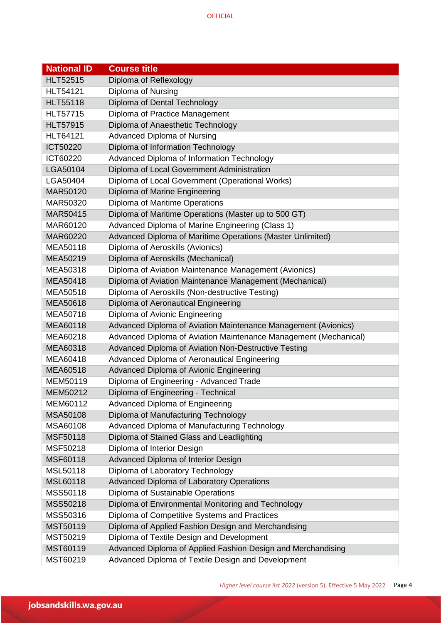| <b>National ID</b> | <b>Course title</b>                                              |
|--------------------|------------------------------------------------------------------|
| <b>HLT52515</b>    | Diploma of Reflexology                                           |
| <b>HLT54121</b>    | Diploma of Nursing                                               |
| <b>HLT55118</b>    | Diploma of Dental Technology                                     |
| <b>HLT57715</b>    | Diploma of Practice Management                                   |
| <b>HLT57915</b>    | Diploma of Anaesthetic Technology                                |
| <b>HLT64121</b>    | Advanced Diploma of Nursing                                      |
| ICT50220           | Diploma of Information Technology                                |
| ICT60220           | Advanced Diploma of Information Technology                       |
| LGA50104           | Diploma of Local Government Administration                       |
| LGA50404           | Diploma of Local Government (Operational Works)                  |
| MAR50120           | Diploma of Marine Engineering                                    |
| MAR50320           | Diploma of Maritime Operations                                   |
| MAR50415           | Diploma of Maritime Operations (Master up to 500 GT)             |
| MAR60120           | Advanced Diploma of Marine Engineering (Class 1)                 |
| MAR60220           | Advanced Diploma of Maritime Operations (Master Unlimited)       |
| MEA50118           | Diploma of Aeroskills (Avionics)                                 |
| MEA50219           | Diploma of Aeroskills (Mechanical)                               |
| MEA50318           | Diploma of Aviation Maintenance Management (Avionics)            |
| MEA50418           | Diploma of Aviation Maintenance Management (Mechanical)          |
| MEA50518           | Diploma of Aeroskills (Non-destructive Testing)                  |
| MEA50618           | Diploma of Aeronautical Engineering                              |
| MEA50718           | Diploma of Avionic Engineering                                   |
| MEA60118           | Advanced Diploma of Aviation Maintenance Management (Avionics)   |
| MEA60218           | Advanced Diploma of Aviation Maintenance Management (Mechanical) |
| MEA60318           | Advanced Diploma of Aviation Non-Destructive Testing             |
| MEA60418           | Advanced Diploma of Aeronautical Engineering                     |
| MEA60518           | Advanced Diploma of Avionic Engineering                          |
| MEM50119           | Diploma of Engineering - Advanced Trade                          |
| MEM50212           | Diploma of Engineering - Technical                               |
| MEM60112           | Advanced Diploma of Engineering                                  |
| MSA50108           | Diploma of Manufacturing Technology                              |
| MSA60108           | Advanced Diploma of Manufacturing Technology                     |
| MSF50118           | Diploma of Stained Glass and Leadlighting                        |
| MSF50218           | Diploma of Interior Design                                       |
| MSF60118           | Advanced Diploma of Interior Design                              |
| MSL50118           | Diploma of Laboratory Technology                                 |
| MSL60118           | Advanced Diploma of Laboratory Operations                        |
| MSS50118           | Diploma of Sustainable Operations                                |
| MSS50218           | Diploma of Environmental Monitoring and Technology               |
| MSS50316           | Diploma of Competitive Systems and Practices                     |
| MST50119           | Diploma of Applied Fashion Design and Merchandising              |
| MST50219           | Diploma of Textile Design and Development                        |
| MST60119           | Advanced Diploma of Applied Fashion Design and Merchandising     |
| MST60219           | Advanced Diploma of Textile Design and Development               |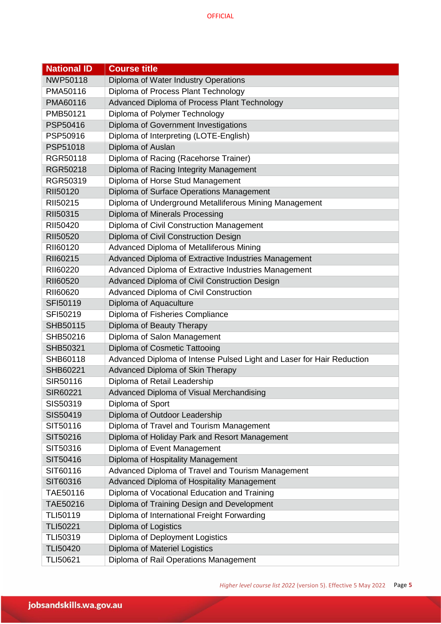| <b>National ID</b> | <b>Course title</b>                                                   |
|--------------------|-----------------------------------------------------------------------|
| <b>NWP50118</b>    | Diploma of Water Industry Operations                                  |
| PMA50116           | Diploma of Process Plant Technology                                   |
| PMA60116           | Advanced Diploma of Process Plant Technology                          |
| PMB50121           | Diploma of Polymer Technology                                         |
| PSP50416           | Diploma of Government Investigations                                  |
| PSP50916           | Diploma of Interpreting (LOTE-English)                                |
| PSP51018           | Diploma of Auslan                                                     |
| RGR50118           | Diploma of Racing (Racehorse Trainer)                                 |
| RGR50218           | Diploma of Racing Integrity Management                                |
| RGR50319           | Diploma of Horse Stud Management                                      |
| RII50120           | Diploma of Surface Operations Management                              |
| RII50215           | Diploma of Underground Metalliferous Mining Management                |
| RII50315           | Diploma of Minerals Processing                                        |
| RII50420           | Diploma of Civil Construction Management                              |
| <b>RII50520</b>    | Diploma of Civil Construction Design                                  |
| RII60120           | Advanced Diploma of Metalliferous Mining                              |
| RII60215           | Advanced Diploma of Extractive Industries Management                  |
| RII60220           | Advanced Diploma of Extractive Industries Management                  |
| RII60520           | Advanced Diploma of Civil Construction Design                         |
| RII60620           | Advanced Diploma of Civil Construction                                |
| SFI50119           | Diploma of Aquaculture                                                |
| SFI50219           | Diploma of Fisheries Compliance                                       |
| SHB50115           | Diploma of Beauty Therapy                                             |
| SHB50216           | Diploma of Salon Management                                           |
| SHB50321           | Diploma of Cosmetic Tattooing                                         |
| SHB60118           | Advanced Diploma of Intense Pulsed Light and Laser for Hair Reduction |
| SHB60221           | Advanced Diploma of Skin Therapy                                      |
| SIR50116           | Diploma of Retail Leadership                                          |
| SIR60221           | Advanced Diploma of Visual Merchandising                              |
| SIS50319           | Diploma of Sport                                                      |
| SIS50419           | Diploma of Outdoor Leadership                                         |
| SIT50116           | Diploma of Travel and Tourism Management                              |
| SIT50216           | Diploma of Holiday Park and Resort Management                         |
| SIT50316           | Diploma of Event Management                                           |
| SIT50416           | Diploma of Hospitality Management                                     |
| SIT60116           | Advanced Diploma of Travel and Tourism Management                     |
| SIT60316           | Advanced Diploma of Hospitality Management                            |
| TAE50116           | Diploma of Vocational Education and Training                          |
| TAE50216           | Diploma of Training Design and Development                            |
| <b>TLI50119</b>    | Diploma of International Freight Forwarding                           |
| <b>TLI50221</b>    | Diploma of Logistics                                                  |
| TLI50319           | Diploma of Deployment Logistics                                       |
| <b>TLI50420</b>    | Diploma of Materiel Logistics                                         |
| TLI50621           | Diploma of Rail Operations Management                                 |